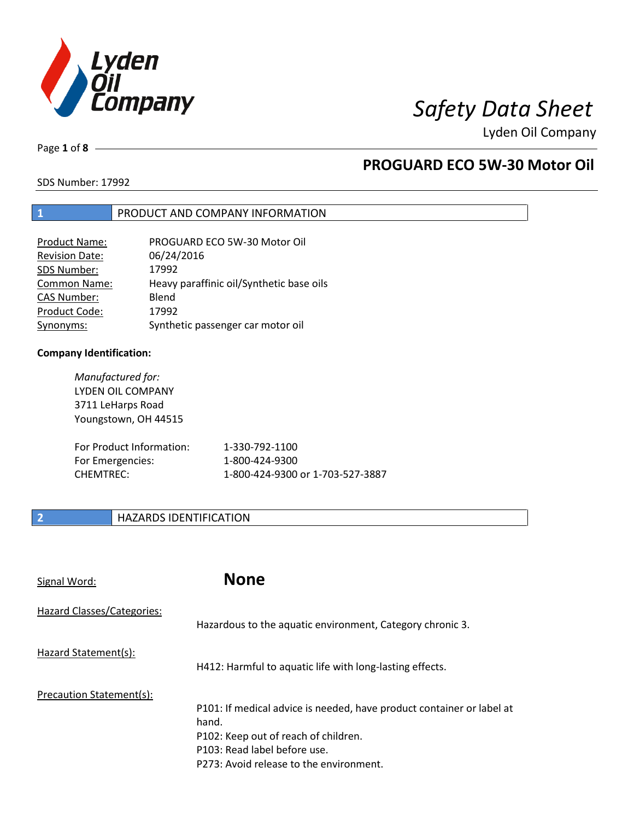

Lyden Oil Company

Page **1** of **8**

## **PROGUARD ECO 5W-30 Motor Oil**

SDS Number: 17992

### **1** PRODUCT AND COMPANY INFORMATION

| <b>Product Name:</b>  | PROGUARD ECO 5W-30 Motor Oil             |
|-----------------------|------------------------------------------|
| <b>Revision Date:</b> | 06/24/2016                               |
| SDS Number:           | 17992                                    |
| <b>Common Name:</b>   | Heavy paraffinic oil/Synthetic base oils |
| <b>CAS Number:</b>    | Blend                                    |
| Product Code:         | 17992                                    |
| Synonyms:             | Synthetic passenger car motor oil        |

### **Company Identification:**

| Manufactured for:<br>LYDEN OIL COMPANY<br>3711 LeHarps Road<br>Youngstown, OH 44515 |                                  |
|-------------------------------------------------------------------------------------|----------------------------------|
| For Product Information:                                                            | 1-330-792-1100                   |
| For Emergencies:                                                                    | 1-800-424-9300                   |
| CHFMTRFC:                                                                           | 1-800-424-9300 or 1-703-527-3887 |

### **2 HAZARDS IDENTIFICATION**

| Signal Word:               | <b>None</b>                                                                                                                                                                                       |
|----------------------------|---------------------------------------------------------------------------------------------------------------------------------------------------------------------------------------------------|
| Hazard Classes/Categories: | Hazardous to the aquatic environment, Category chronic 3.                                                                                                                                         |
| Hazard Statement(s):       | H412: Harmful to aquatic life with long-lasting effects.                                                                                                                                          |
| Precaution Statement(s):   | P101: If medical advice is needed, have product container or label at<br>hand.<br>P102: Keep out of reach of children.<br>P103: Read label before use.<br>P273: Avoid release to the environment. |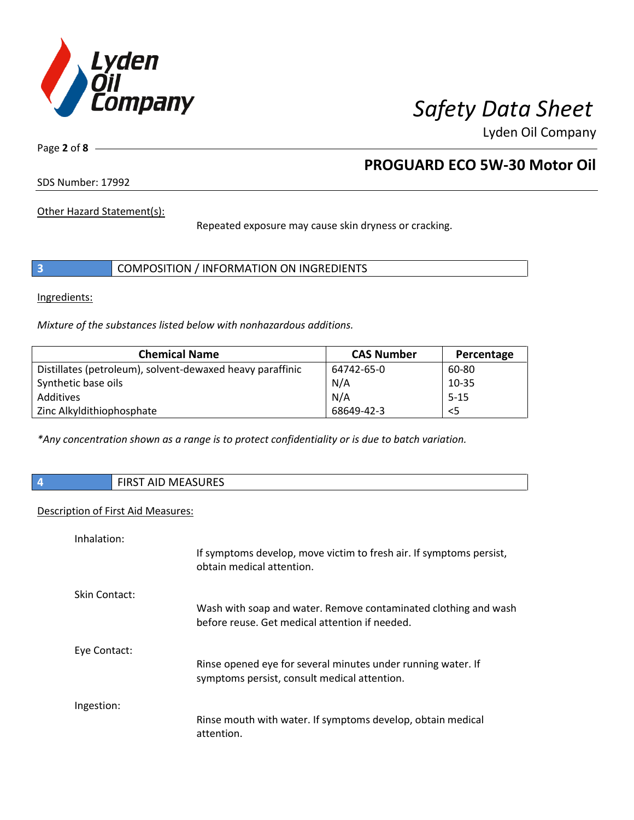

Lyden Oil Company

Page **2** of **8**

## **PROGUARD ECO 5W-30 Motor Oil**

SDS Number: 17992

Other Hazard Statement(s):

Repeated exposure may cause skin dryness or cracking.

|  | COMPOSITION / INFORMATION ON INGREDIENTS |  |
|--|------------------------------------------|--|
|--|------------------------------------------|--|

Ingredients:

*Mixture of the substances listed below with nonhazardous additions.* 

| <b>Chemical Name</b>                                      | <b>CAS Number</b> | Percentage |
|-----------------------------------------------------------|-------------------|------------|
| Distillates (petroleum), solvent-dewaxed heavy paraffinic | 64742-65-0        | 60-80      |
| Synthetic base oils                                       | N/A               | $10 - 35$  |
| Additives                                                 | N/A               | $5 - 15$   |
| Zinc Alkyldithiophosphate                                 | 68649-42-3        | $<$ 5      |

*\*Any concentration shown as a range is to protect confidentiality or is due to batch variation.*

**4** FIRST AID MEASURES

#### Description of First Aid Measures:

| Inhalation:   |                                                                                                                   |
|---------------|-------------------------------------------------------------------------------------------------------------------|
|               | If symptoms develop, move victim to fresh air. If symptoms persist,<br>obtain medical attention.                  |
| Skin Contact: |                                                                                                                   |
|               | Wash with soap and water. Remove contaminated clothing and wash<br>before reuse. Get medical attention if needed. |
| Eye Contact:  |                                                                                                                   |
|               | Rinse opened eye for several minutes under running water. If<br>symptoms persist, consult medical attention.      |
| Ingestion:    |                                                                                                                   |
|               | Rinse mouth with water. If symptoms develop, obtain medical<br>attention.                                         |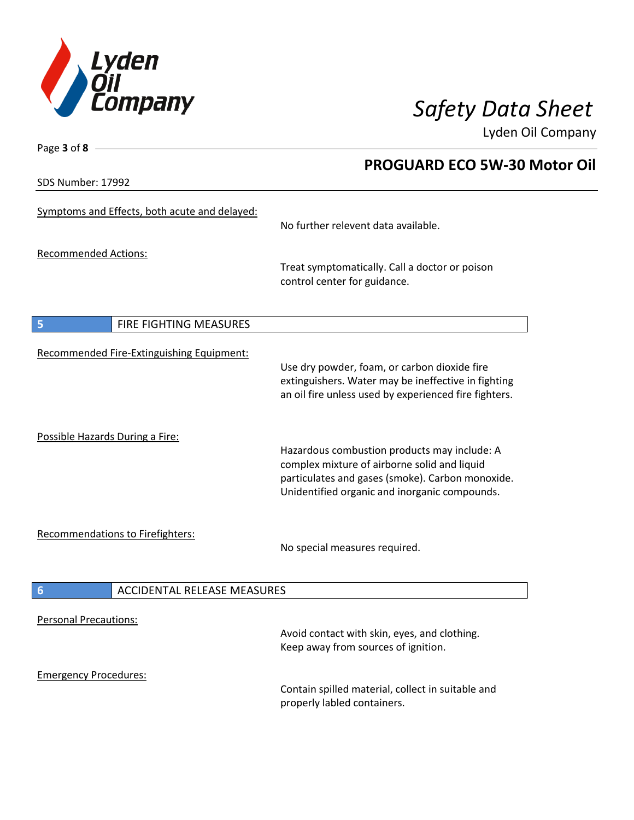

 **PROGUARD ECO 5W-30 Motor Oil** 

Lyden Oil Company

SDS Number: 17992

Page **3** of **8**

## Symptoms and Effects, both acute and delayed: No further relevent data available. Recommended Actions: Treat symptomatically. Call a doctor or poison control center for guidance. **5** FIRE FIGHTING MEASURES Recommended Fire-Extinguishing Equipment: Use dry powder, foam, or carbon dioxide fire extinguishers. Water may be ineffective in fighting an oil fire unless used by experienced fire fighters. Possible Hazards During a Fire: Hazardous combustion products may include: A complex mixture of airborne solid and liquid particulates and gases (smoke). Carbon monoxide. Unidentified organic and inorganic compounds. Recommendations to Firefighters: No special measures required. **6** ACCIDENTAL RELEASE MEASURES Personal Precautions: Avoid contact with skin, eyes, and clothing. Keep away from sources of ignition. Emergency Procedures: Contain spilled material, collect in suitable and properly labled containers.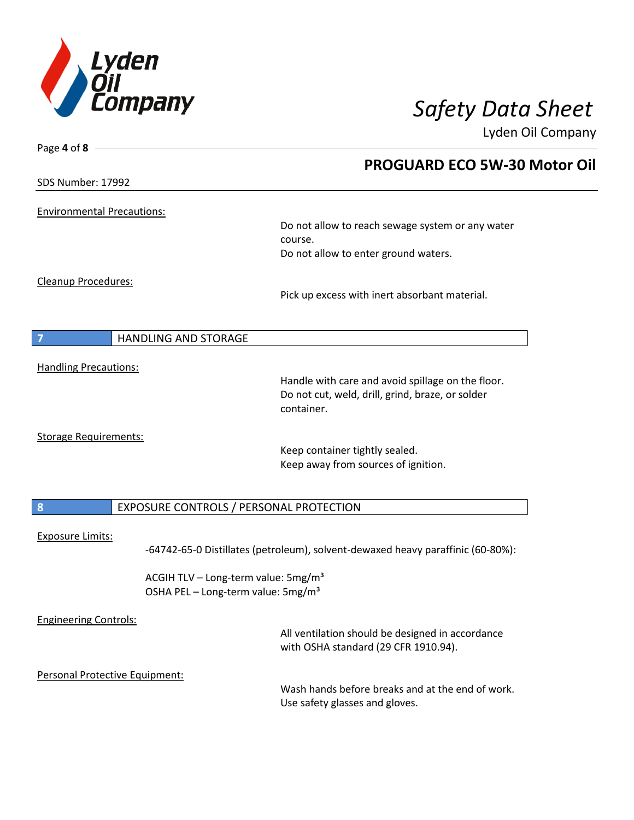

Page **4** of **8**

# *Safety Data Sheet*

Lyden Oil Company

|                                   |                                                                                                   | <b>PROGUARD ECO 5W-30 Motor Oil</b>                                                                                 |  |
|-----------------------------------|---------------------------------------------------------------------------------------------------|---------------------------------------------------------------------------------------------------------------------|--|
| SDS Number: 17992                 |                                                                                                   |                                                                                                                     |  |
| <b>Environmental Precautions:</b> |                                                                                                   |                                                                                                                     |  |
|                                   |                                                                                                   | Do not allow to reach sewage system or any water<br>course.                                                         |  |
|                                   |                                                                                                   | Do not allow to enter ground waters.                                                                                |  |
| Cleanup Procedures:               |                                                                                                   | Pick up excess with inert absorbant material.                                                                       |  |
|                                   | HANDLING AND STORAGE                                                                              |                                                                                                                     |  |
| <b>Handling Precautions:</b>      |                                                                                                   |                                                                                                                     |  |
|                                   |                                                                                                   | Handle with care and avoid spillage on the floor.<br>Do not cut, weld, drill, grind, braze, or solder<br>container. |  |
| <b>Storage Requirements:</b>      |                                                                                                   | Keep container tightly sealed.<br>Keep away from sources of ignition.                                               |  |
| 8                                 | EXPOSURE CONTROLS / PERSONAL PROTECTION                                                           |                                                                                                                     |  |
| Exposure Limits:                  |                                                                                                   | -64742-65-0 Distillates (petroleum), solvent-dewaxed heavy paraffinic (60-80%):                                     |  |
|                                   | ACGIH TLV - Long-term value: 5mg/m <sup>3</sup><br>OSHA PEL - Long-term value: 5mg/m <sup>3</sup> |                                                                                                                     |  |
| <b>Engineering Controls:</b>      |                                                                                                   | All ventilation should be designed in accordance<br>with OSHA standard (29 CFR 1910.94).                            |  |
| Personal Protective Equipment:    |                                                                                                   |                                                                                                                     |  |
|                                   |                                                                                                   | Wash hands before breaks and at the end of work.<br>Use safety glasses and gloves.                                  |  |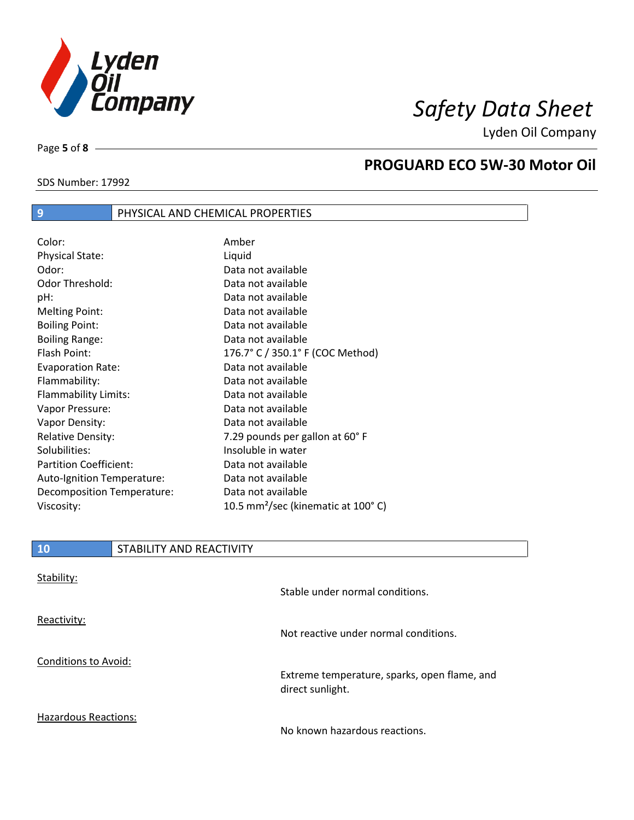

Lyden Oil Company

SDS Number: 17992

Page **5** of **8**

### **PROGUARD ECO 5W-30 Motor Oil**

| SDS Number: 17992 |  |  |
|-------------------|--|--|
|                   |  |  |

## **9** PHYSICAL AND CHEMICAL PROPERTIES

| Color:                        | Amber                                          |
|-------------------------------|------------------------------------------------|
| <b>Physical State:</b>        | Liquid                                         |
| Odor:                         | Data not available                             |
| <b>Odor Threshold:</b>        | Data not available                             |
| pH:                           | Data not available                             |
| <b>Melting Point:</b>         | Data not available                             |
| <b>Boiling Point:</b>         | Data not available                             |
| <b>Boiling Range:</b>         | Data not available                             |
| Flash Point:                  | 176.7° C / 350.1° F (COC Method)               |
| <b>Evaporation Rate:</b>      | Data not available                             |
| Flammability:                 | Data not available                             |
| Flammability Limits:          | Data not available                             |
| Vapor Pressure:               | Data not available                             |
| Vapor Density:                | Data not available                             |
| <b>Relative Density:</b>      | 7.29 pounds per gallon at 60°F                 |
| Solubilities:                 | Insoluble in water                             |
| <b>Partition Coefficient:</b> | Data not available                             |
| Auto-Ignition Temperature:    | Data not available                             |
| Decomposition Temperature:    | Data not available                             |
| Viscosity:                    | 10.5 mm <sup>2</sup> /sec (kinematic at 100°C) |

| 10                          | STABILITY AND REACTIVITY |                                                                  |
|-----------------------------|--------------------------|------------------------------------------------------------------|
| Stability:                  |                          | Stable under normal conditions.                                  |
| Reactivity:                 |                          | Not reactive under normal conditions.                            |
| <b>Conditions to Avoid:</b> |                          | Extreme temperature, sparks, open flame, and<br>direct sunlight. |

Hazardous Reactions:

No known hazardous reactions.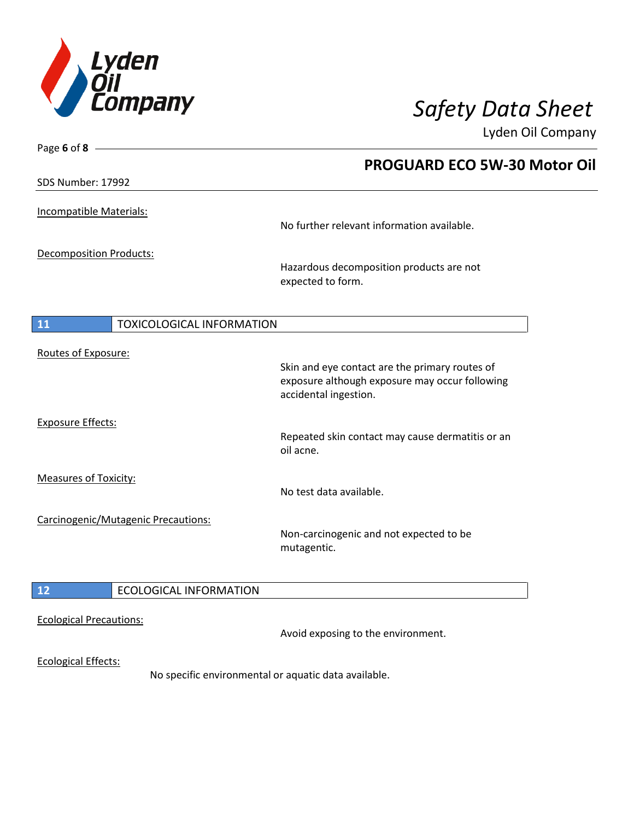

Lyden Oil Company

| Page 6 of 8 $-$                        |                                                               |
|----------------------------------------|---------------------------------------------------------------|
|                                        | <b>PROGUARD ECO 5W-30 Motor Oil</b>                           |
| SDS Number: 17992                      |                                                               |
|                                        |                                                               |
| Incompatible Materials:                | No further relevant information available.                    |
|                                        |                                                               |
| <b>Decomposition Products:</b>         |                                                               |
|                                        | Hazardous decomposition products are not<br>expected to form. |
|                                        |                                                               |
|                                        |                                                               |
| <b>TOXICOLOGICAL INFORMATION</b><br>11 |                                                               |
| Routes of Exposure:                    |                                                               |
|                                        | Skin and eye contact are the primary routes of                |
|                                        | exposure although exposure may occur following                |
|                                        | accidental ingestion.                                         |
| <b>Exposure Effects:</b>               |                                                               |
|                                        | Repeated skin contact may cause dermatitis or an<br>oil acne. |
|                                        |                                                               |
| Measures of Toxicity:                  |                                                               |
|                                        | No test data available.                                       |
| Carcinogenic/Mutagenic Precautions:    |                                                               |
|                                        | Non-carcinogenic and not expected to be                       |
|                                        | mutagentic.                                                   |
|                                        |                                                               |
| <b>ECOLOGICAL INFORMATION</b><br>12    |                                                               |
| <b>Ecological Precautions:</b>         |                                                               |
|                                        | Avoid exposing to the environment.                            |
|                                        |                                                               |
| <b>Ecological Effects:</b>             | No specific environmental or aquatic data available.          |
|                                        |                                                               |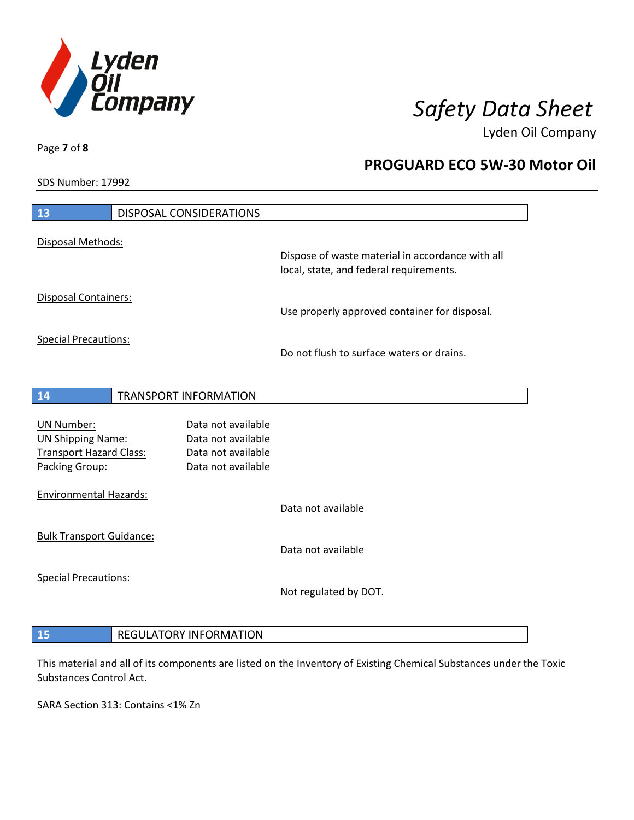

 **PROGUARD ECO 5W-30 Motor Oil** 

Lyden Oil Company

SDS Number: 17992

Page **7** of **8**

| 13                                                                                                | DISPOSAL CONSIDERATIONS                                                              |                                                                                             |
|---------------------------------------------------------------------------------------------------|--------------------------------------------------------------------------------------|---------------------------------------------------------------------------------------------|
| Disposal Methods:                                                                                 |                                                                                      |                                                                                             |
|                                                                                                   |                                                                                      | Dispose of waste material in accordance with all<br>local, state, and federal requirements. |
| Disposal Containers:                                                                              |                                                                                      | Use properly approved container for disposal.                                               |
| <b>Special Precautions:</b>                                                                       |                                                                                      | Do not flush to surface waters or drains.                                                   |
| 14                                                                                                | <b>TRANSPORT INFORMATION</b>                                                         |                                                                                             |
| <b>UN Number:</b><br><b>UN Shipping Name:</b><br><b>Transport Hazard Class:</b><br>Packing Group: | Data not available<br>Data not available<br>Data not available<br>Data not available |                                                                                             |
| <b>Environmental Hazards:</b>                                                                     |                                                                                      | Data not available                                                                          |
| <b>Bulk Transport Guidance:</b>                                                                   |                                                                                      | Data not available                                                                          |
| <b>Special Precautions:</b>                                                                       |                                                                                      | Not regulated by DOT.                                                                       |
| 15                                                                                                | <b>REGULATORY INFORMATION</b>                                                        |                                                                                             |

This material and all of its components are listed on the Inventory of Existing Chemical Substances under the Toxic

SARA Section 313: Contains <1% Zn

Substances Control Act.